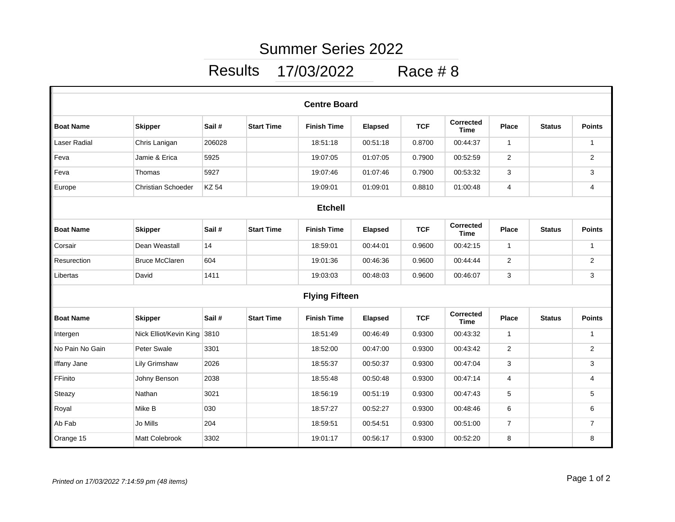## Summer Series 2022

## Results 17/03/2022 Race # 8

| <b>Centre Board</b>   |                           |              |                   |                    |                |            |                                 |                |               |                |  |  |
|-----------------------|---------------------------|--------------|-------------------|--------------------|----------------|------------|---------------------------------|----------------|---------------|----------------|--|--|
| <b>Boat Name</b>      | <b>Skipper</b>            | Sail#        | <b>Start Time</b> | <b>Finish Time</b> | <b>Elapsed</b> | <b>TCF</b> | <b>Corrected</b><br><b>Time</b> | <b>Place</b>   | <b>Status</b> | <b>Points</b>  |  |  |
| Laser Radial          | Chris Lanigan             | 206028       |                   | 18:51:18           | 00:51:18       | 0.8700     | 00:44:37                        | $\mathbf{1}$   |               | $\mathbf{1}$   |  |  |
| Feva                  | Jamie & Erica             | 5925         |                   | 19:07:05           | 01:07:05       | 0.7900     | 00:52:59                        | 2              |               | 2              |  |  |
| Feva                  | Thomas                    | 5927         |                   | 19:07:46           | 01:07:46       | 0.7900     | 00:53:32                        | 3              |               | 3              |  |  |
| Europe                | <b>Christian Schoeder</b> | <b>KZ 54</b> |                   | 19:09:01           | 01:09:01       | 0.8810     | 01:00:48                        | $\overline{4}$ |               | 4              |  |  |
| <b>Etchell</b>        |                           |              |                   |                    |                |            |                                 |                |               |                |  |  |
| <b>Boat Name</b>      | <b>Skipper</b>            | Sail#        | <b>Start Time</b> | <b>Finish Time</b> | <b>Elapsed</b> | <b>TCF</b> | <b>Corrected</b><br><b>Time</b> | <b>Place</b>   | <b>Status</b> | <b>Points</b>  |  |  |
| Corsair               | Dean Weastall             | 14           |                   | 18:59:01           | 00:44:01       | 0.9600     | 00:42:15                        | $\mathbf{1}$   |               | $\mathbf{1}$   |  |  |
| Resurection           | <b>Bruce McClaren</b>     | 604          |                   | 19:01:36           | 00:46:36       | 0.9600     | 00:44:44                        | $\overline{2}$ |               | $\overline{2}$ |  |  |
| Libertas              | David                     | 1411         |                   | 19:03:03           | 00:48:03       | 0.9600     | 00:46:07                        | 3              |               | 3              |  |  |
| <b>Flying Fifteen</b> |                           |              |                   |                    |                |            |                                 |                |               |                |  |  |
| <b>Boat Name</b>      | <b>Skipper</b>            | Sail#        | <b>Start Time</b> | <b>Finish Time</b> | <b>Elapsed</b> | <b>TCF</b> | <b>Corrected</b><br><b>Time</b> | <b>Place</b>   | <b>Status</b> | <b>Points</b>  |  |  |
| Intergen              | Nick Elliot/Kevin King    | 3810         |                   | 18:51:49           | 00:46:49       | 0.9300     | 00:43:32                        | $\mathbf{1}$   |               | $\mathbf{1}$   |  |  |
| No Pain No Gain       | Peter Swale               | 3301         |                   | 18:52:00           | 00:47:00       | 0.9300     | 00:43:42                        | $\overline{2}$ |               | $\overline{2}$ |  |  |
| <b>Iffany Jane</b>    | <b>Lily Grimshaw</b>      | 2026         |                   | 18:55:37           | 00:50:37       | 0.9300     | 00:47:04                        | 3              |               | 3              |  |  |
| FFinito               | Johny Benson              | 2038         |                   | 18:55:48           | 00:50:48       | 0.9300     | 00:47:14                        | $\overline{4}$ |               | 4              |  |  |
| Steazy                | Nathan                    | 3021         |                   | 18:56:19           | 00:51:19       | 0.9300     | 00:47:43                        | 5              |               | 5              |  |  |
| Royal                 | Mike B                    | 030          |                   | 18:57:27           | 00:52:27       | 0.9300     | 00:48:46                        | 6              |               | 6              |  |  |
| Ab Fab                | Jo Mills                  | 204          |                   | 18:59:51           | 00:54:51       | 0.9300     | 00:51:00                        | $\overline{7}$ |               | $\overline{7}$ |  |  |
| Orange 15             | Matt Colebrook            | 3302         |                   | 19:01:17           | 00:56:17       | 0.9300     | 00:52:20                        | 8              |               | 8              |  |  |